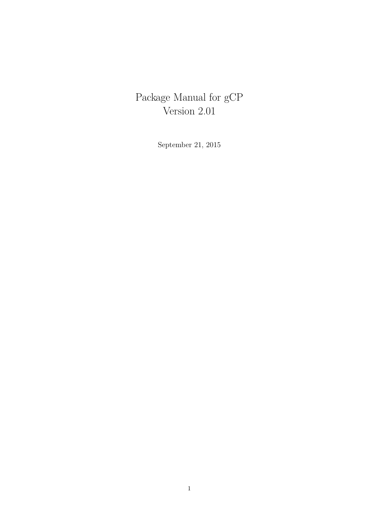# Package Manual for gCP Version 2.01

September 21, 2015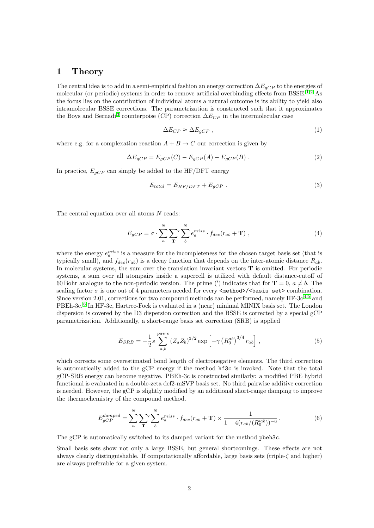### 1 Theory

The central idea is to add in a semi-empirical fashion an energy correction  $\Delta E_{gCP}$  to the energies of molecular (or periodic) systems in order to remove artificial overbinding effects from BSSE.<sup>[1,](#page-5-0)[2](#page-5-1)</sup> As the focus lies on the contribution of individual atoms a natural outcome is its ability to yield also intramolecular BSSE corrections. The parametrization is constructed such that it approximates the Boys and Bernadi<sup>[3](#page-5-2)</sup> counterpoise (CP) correction  $\Delta E_{CP}$  in the intermolecular case

$$
\Delta E_{CP} \approx \Delta E_{gCP} \tag{1}
$$

where e.g. for a complexation reaction  $A + B \to C$  our correction is given by

$$
\Delta E_{gCP} = E_{gCP}(C) - E_{gCP}(A) - E_{gCP}(B) . \qquad (2)
$$

In practice,  $E_{qCP}$  can simply be added to the HF/DFT energy

$$
E_{total} = E_{HF/DFT} + E_{gCP} . \t\t(3)
$$

The central equation over all atoms N reads:

$$
E_{gCP} = \sigma \cdot \sum_{a}^{N} \sum_{\mathbf{T}}' \sum_{b}^{N} e_a^{miss} \cdot f_{dec}(r_{ab} + \mathbf{T}) , \qquad (4)
$$

where the energy  $e_a^{miss}$  is a measure for the incompleteness for the chosen target basis set (that is typically small), and  $f_{dec}(r_{ab})$  is a decay function that depends on the inter-atomic distance  $R_{ab}$ . In molecular systems, the sum over the translation invariant vectors  $T$  is omitted. For periodic systems, a sum over all atompairs inside a supercell is utilized with default distance-cutoff of 60 Bohr analogue to the non-periodic version. The prime (') indicates that for  $\mathbf{T} = 0, a \neq b$ . The scaling factor  $\sigma$  is one out of 4 parameters needed for every  $\langle \text{method}\rangle/\langle \text{basis set}\rangle$  combination. Since version 2.01, corrections for two compound methods can be performed, namely  $HF-3c^{4,5}$  $HF-3c^{4,5}$  $HF-3c^{4,5}$  $HF-3c^{4,5}$  and PBEh-3c.<sup>[6](#page-5-5)</sup> In HF-3c, Hartree-Fock is evaluated in a (near) minimal MINIX basis set. The London dispersion is covered by the D3 dispersion correction and the BSSE is corrected by a special gCP parametrization. Additionally, a short-range basis set correction (SRB) is applied

$$
E_{SRB} = -\frac{1}{2}s \sum_{a,b}^{pairs} (Z_a Z_b)^{3/2} \exp\left[-\gamma \left(R_0^{ab}\right)^{3/4} r_{ab}\right],
$$
 (5)

which corrects some overestimated bond length of electronegative elements. The third correction is automatically added to the gCP energy if the method hf3c is invoked. Note that the total gCP-SRB energy can become negative. PBEh-3c is constructed similarly: a modified PBE hybrid functional is evaluated in a double-zeta def2-mSVP basis set. No third pairwise additive correction is needed. However, the gCP is slightly modified by an additional short-range damping to improve the thermochemistry of the compound method.

$$
E_{gCP}^{damped} = \sum_{a}^{N} \sum_{\mathbf{T}}' \sum_{b}^{N} e_a^{miss} \cdot f_{dec}(r_{ab} + \mathbf{T}) \times \frac{1}{1 + 4(r_{ab}/(R_0'^{ab}))^{-6}}.
$$
 (6)

The gCP is automatically switched to its damped variant for the method pbeh3c.

Small basis sets show not only a large BSSE, but general shortcomings. These effects are not always clearly distinguishable. If computationally affordable, large basis sets (triple-ζ and higher) are always preferable for a given system.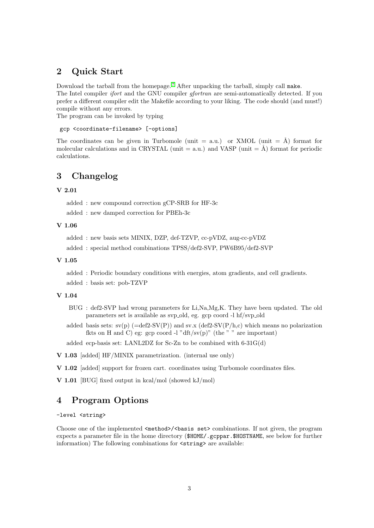# 2 Quick Start

Download the tarball from the homepage.<sup>[7](#page-5-6)</sup> After unpacking the tarball, simply call make. The Intel compiler *ifort* and the GNU compiler *gfortran* are semi-automatically detected. If you prefer a different compiler edit the Makefile according to your liking. The code should (and must!) compile without any errors.

The program can be invoked by typing

### gcp <coordinate-filename> [-options]

The coordinates can be given in Turbomole (unit = a.u.) or XMOL (unit =  $\AA$ ) format for molecular calculations and in CRYSTAL (unit = a.u.) and VASP (unit =  $\AA$ ) format for periodic calculations.

# 3 Changelog

### V 2.01

added : new compound correction gCP-SRB for HF-3c

added : new damped correction for PBEh-3c

### V 1.06

```
added : new basis sets MINIX, DZP, def-TZVP, cc-pVDZ, aug-cc-pVDZ
```

```
added : special method combinations TPSS/def2-SVP, PW6B95/def2-SVP
```
#### V 1.05

added : Periodic boundary conditions with energies, atom gradients, and cell gradients. added : basis set: pob-TZVP

#### V 1.04

- BUG : def2-SVP had wrong parameters for Li,Na,Mg,K. They have been updated. The old parameters set is available as svp old, eg. gcp coord -l hf/svp old
- added basis sets:  $sv(p)$  (=def2-SV(P)) and  $sv.x$  (def2-SV(P/h,c) which means no polarization fkts on H and C) eg: gcp coord -l "dft/sv $(p)$ " (the " " are important)

added ecp-basis set: LANL2DZ for Sc-Zn to be combined with 6-31G(d)

```
V 1.03 [added] HF/MINIX parametrization. (internal use only)
```
V 1.02 [added] support for frozen cart. coordinates using Turbomole coordinates files.

V 1.01 [BUG] fixed output in kcal/mol (showed kJ/mol)

# 4 Program Options

-level <string>

Choose one of the implemented  $\mathsf{cmethod}$  / $\mathsf{cbasis}$  set  $\mathsf{c}$  combinations. If not given, the program expects a parameter file in the home directory (\$HOME/.gcppar.\$HOSTNAME, see below for further information) The following combinations for  $\langle$ string> are available: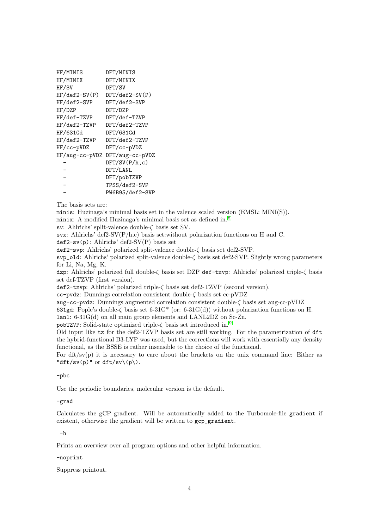| HF/MINIS       | DFT/MINIS        |
|----------------|------------------|
| HF/MINIX       | DFT/MINIX        |
| HF/SV          | DFT/SV           |
| HF/def2-SV(P)  | $DFT/def2-SV(P)$ |
| HF/def2-SVP    | DFT/def2-SVP     |
| HF/DZP         | DFT/DZP          |
| HF/def-TZVP    | DFT/def-TZVP     |
| HF/def2-TZVP   | DFT/def2-TZVP    |
| HF/631Gd       | DFT/631Gd        |
| HF/def2-TZVP   | DFT/def2-TZVP    |
| HF/cc-pVDZ     | DFT/cc-pVDZ      |
| HF/aug-cc-pVDZ | DFT/aug-cc-pVDZ  |
|                | DFT/SV(P/h, c)   |
|                | DFT/LANL         |
|                | DFT/pobTZVP      |
|                | TPSS/def2-SVP    |
|                | PW6B95/def2-SVP  |
|                |                  |

The basis sets are:

minis: Huzinaga's minimal basis set in the valence scaled version (EMSL: MINI(S)).

minix: A modified Huzinaga's minimal basis set as defined in. [8](#page-5-7)

sv: Ahlrichs' split-valence double-ζ basis set SV.

svx: Ahlrichs' def2-SV(P/h,c) basis set:without polarization functions on H and C.

 $def2-sv(p)$ : Ahlrichs' def2-SV(P) basis set

def2-svp: Ahlrichs' polarized split-valence double-ζ basis set def2-SVP.

svp\_old: Ahlrichs' polarized split-valence double-ζ basis set def2-SVP. Slightly wrong parameters for Li, Na, Mg, K.

dzp: Ahlrichs' polarized full double-ζ basis set DZP def-tzvp: Ahlrichs' polarized triple-ζ basis set def-TZVP (first version).

def2-tzvp: Ahlrichs' polarized triple-ζ basis set def2-TZVP (second version).

cc-pvdz: Dunnings correlation consistent double-ζ basis set cc-pVDZ

aug-cc-pvdz: Dunnings augmented correlation consistent double-ζ basis set aug-cc-pVDZ

631gd: Pople's double- $\zeta$  basis set 6-31G\* (or: 6-31G(d)) without polarization functions on H.

lanl: 6-31G(d) on all main group elements and LANL2DZ on Sc-Zn.

pobTZVP: Solid-state optimized triple-ζ basis set introduced in.<sup>[9](#page-5-8)</sup>

Old input like tz for the def2-TZVP basis set are still working. For the parametrization of dft the hybrid-functional B3-LYP was used, but the corrections will work with essentially any density functional, as the BSSE is rather insensible to the choice of the functional.

For dft/sv(p) it is necessary to care about the brackets on the unix command line: Either as "dft/sv(p)" or dft/sv $(p)$ .

#### -pbc

Use the periodic boundaries, molecular version is the default.

#### -grad

Calculates the gCP gradient. Will be automatically added to the Turbomole-file gradient if existent, otherwise the gradient will be written to gcp\_gradient.

#### -h

Prints an overview over all program options and other helpful information.

#### -noprint

Suppress printout.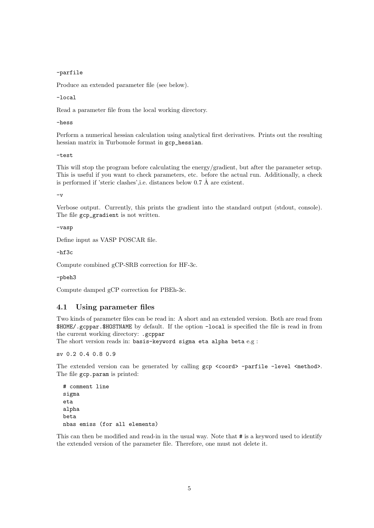-parfile

Produce an extended parameter file (see below).

-local

Read a parameter file from the local working directory.

-hess

Perform a numerical hessian calculation using analytical first derivatives. Prints out the resulting hessian matrix in Turbomole format in gcp hessian.

-test

This will stop the program before calculating the energy/gradient, but after the parameter setup. This is useful if you want to check parameters, etc. before the actual run. Additionally, a check is performed if 'steric clashes', i.e. distances below  $0.7 \text{ Å}$  are existent.

-v

Verbose output. Currently, this prints the gradient into the standard output (stdout, console). The file gcp\_gradient is not written.

-vasp

Define input as VASP POSCAR file.

 $-hf3c$ 

Compute combined gCP-SRB correction for HF-3c.

-pbeh3

Compute damped gCP correction for PBEh-3c.

### 4.1 Using parameter files

Two kinds of parameter files can be read in: A short and an extended version. Both are read from \$HOME/.gcppar.\$HOSTNAME by default. If the option -local is specified the file is read in from the current working directory: .gcppar

The short version reads in: basis-keyword sigma eta alpha beta e.g :

sv 0.2 0.4 0.8 0.9

The extended version can be generated by calling gcp <coord> -parfile -level <method>. The file gcp.param is printed:

```
# comment line
sigma
eta
alpha
beta
nbas emiss (for all elements)
```
This can then be modified and read-in in the usual way. Note that # is a keyword used to identify the extended version of the parameter file. Therefore, one must not delete it.